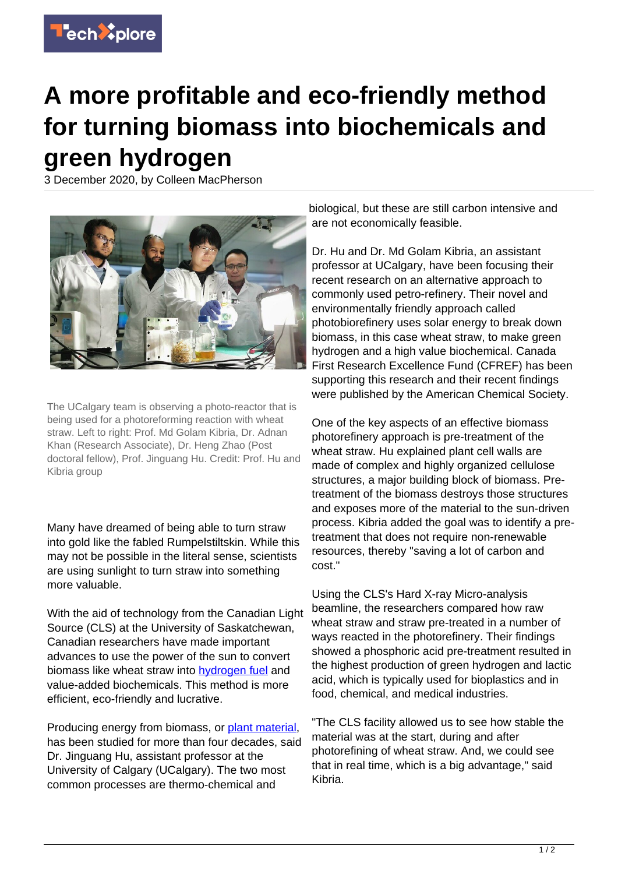

## **A more profitable and eco-friendly method for turning biomass into biochemicals and green hydrogen**

3 December 2020, by Colleen MacPherson



The UCalgary team is observing a photo-reactor that is being used for a photoreforming reaction with wheat straw. Left to right: Prof. Md Golam Kibria, Dr. Adnan Khan (Research Associate), Dr. Heng Zhao (Post doctoral fellow), Prof. Jinguang Hu. Credit: Prof. Hu and Kibria group

Many have dreamed of being able to turn straw into gold like the fabled Rumpelstiltskin. While this may not be possible in the literal sense, scientists are using sunlight to turn straw into something more valuable.

With the aid of technology from the Canadian Light Source (CLS) at the University of Saskatchewan, Canadian researchers have made important advances to use the power of the sun to convert biomass like wheat straw into [hydrogen fuel](https://techxplore.com/tags/hydrogen+fuel/) and value-added biochemicals. This method is more efficient, eco-friendly and lucrative.

Producing energy from biomass, or [plant material,](https://techxplore.com/tags/plant+material/) has been studied for more than four decades, said Dr. Jinguang Hu, assistant professor at the University of Calgary (UCalgary). The two most common processes are thermo-chemical and

biological, but these are still carbon intensive and are not economically feasible.

Dr. Hu and Dr. Md Golam Kibria, an assistant professor at UCalgary, have been focusing their recent research on an alternative approach to commonly used petro-refinery. Their novel and environmentally friendly approach called photobiorefinery uses solar energy to break down biomass, in this case wheat straw, to make green hydrogen and a high value biochemical. Canada First Research Excellence Fund (CFREF) has been supporting this research and their recent findings were published by the American Chemical Society.

One of the key aspects of an effective biomass photorefinery approach is pre-treatment of the wheat straw. Hu explained plant cell walls are made of complex and highly organized cellulose structures, a major building block of biomass. Pretreatment of the biomass destroys those structures and exposes more of the material to the sun-driven process. Kibria added the goal was to identify a pretreatment that does not require non-renewable resources, thereby "saving a lot of carbon and cost."

Using the CLS's Hard X-ray Micro-analysis beamline, the researchers compared how raw wheat straw and straw pre-treated in a number of ways reacted in the photorefinery. Their findings showed a phosphoric acid pre-treatment resulted in the highest production of green hydrogen and lactic acid, which is typically used for bioplastics and in food, chemical, and medical industries.

"The CLS facility allowed us to see how stable the material was at the start, during and after photorefining of wheat straw. And, we could see that in real time, which is a big advantage," said Kibria.